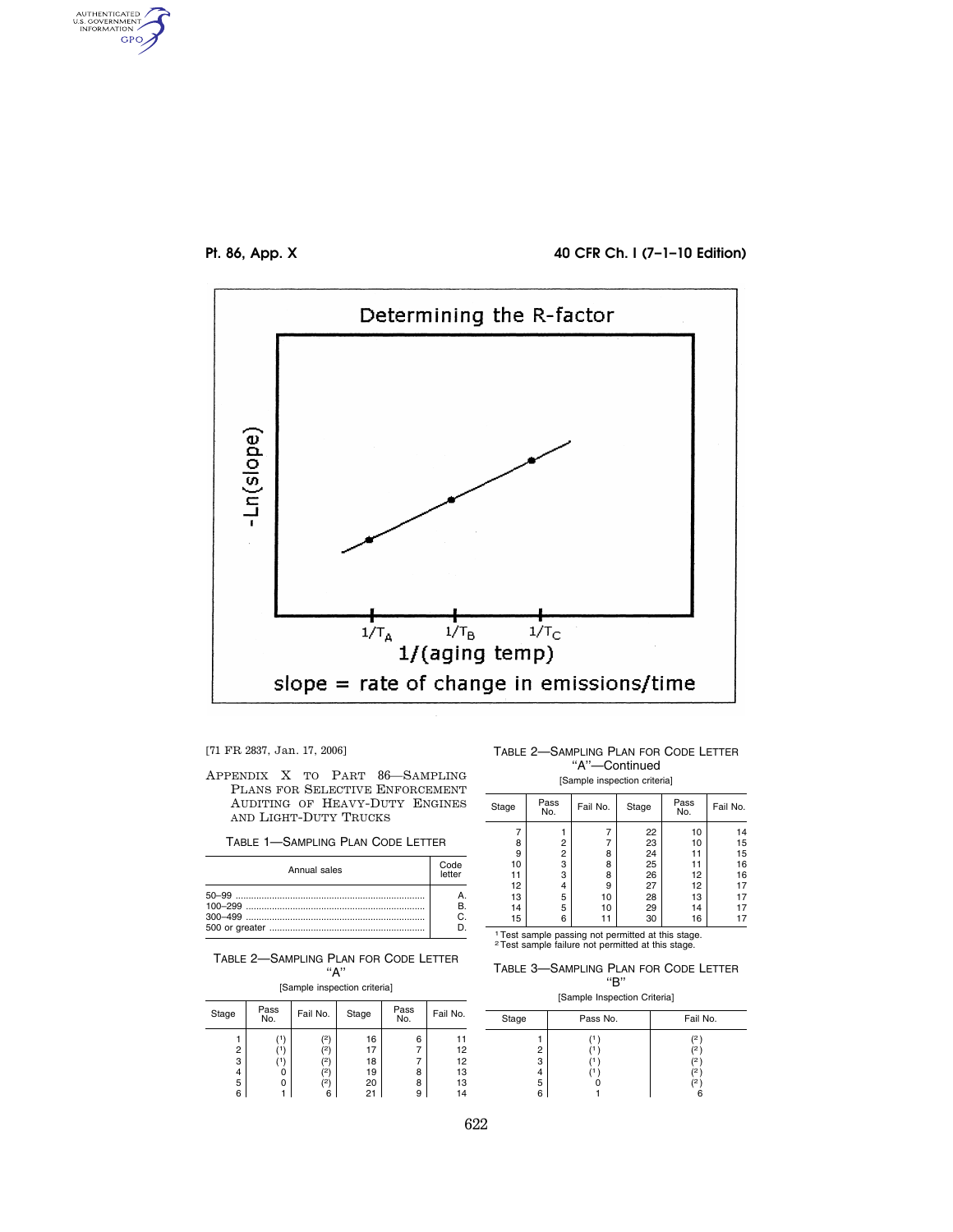

AUTHENTICATED<br>U.S. GOVERNMENT<br>INFORMATION **GPO** 

## **Pt. 86, App. X 40 CFR Ch. I (7–1–10 Edition)**



[71 FR 2837, Jan. 17, 2006]

TABLE 1—SAMPLING PLAN CODE LETTER

| Annual sales | Code<br>letter |
|--------------|----------------|
|              | R              |

TABLE 2—SAMPLING PLAN FOR CODE LETTER ''A''

[Sample inspection criteria]

| Stage                 | Pass<br>No. | Fail No.                   | Stage                            | Pass<br>No.      | Fail No.                         |
|-----------------------|-------------|----------------------------|----------------------------------|------------------|----------------------------------|
| 2<br>3<br>4<br>5<br>6 | 0           | 21<br>'2)<br>2١<br>2١<br>6 | 16<br>17<br>18<br>19<br>20<br>21 | 6<br>8<br>8<br>9 | 11<br>12<br>12<br>13<br>13<br>14 |

TABLE 2—SAMPLING PLAN FOR CODE LETTER "A"-Continued

[Sample inspection criteria]

| Stage | Pass<br>No.                                          | Fail No. | Stage | Pass<br>No. | Fail No. |  |
|-------|------------------------------------------------------|----------|-------|-------------|----------|--|
|       |                                                      |          | 22    | 10          | 14       |  |
| 8     | 2                                                    | 7        | 23    | 10          | 15       |  |
| 9     | 2                                                    | 8        | 24    | 11          | 15       |  |
| 10    | 3                                                    | 8        | 25    | 11          | 16       |  |
| 11    | 3                                                    | 8        | 26    | 12          | 16       |  |
| 12    | 4                                                    | 9        | 27    | 12          | 17       |  |
| 13    | 5                                                    | 10       | 28    | 13          | 17       |  |
| 14    | 5                                                    | 10       | 29    | 14          | 17       |  |
| 15    | 6                                                    | 11       | 30    | 16          | 17       |  |
|       | 1 Test console possible pat pounditud at this store. |          |       |             |          |  |

1Test sample passing not permitted at this stage. 2Test sample failure not permitted at this stage.

TABLE 3—SAMPLING PLAN FOR CODE LETTER ''B''

| [Sample Inspection Criteria] |  |
|------------------------------|--|

| Stage                 | Pass No. | Fail No.            |
|-----------------------|----------|---------------------|
| 2<br>3<br>4<br>5<br>6 |          | (2,<br>2<br>2<br>'2 |

APPENDIX X TO PART 86—SAMPLING PLANS FOR SELECTIVE ENFORCEMENT AUDITING OF HEAVY-DUTY ENGINES AND LIGHT-DUTY TRUCKS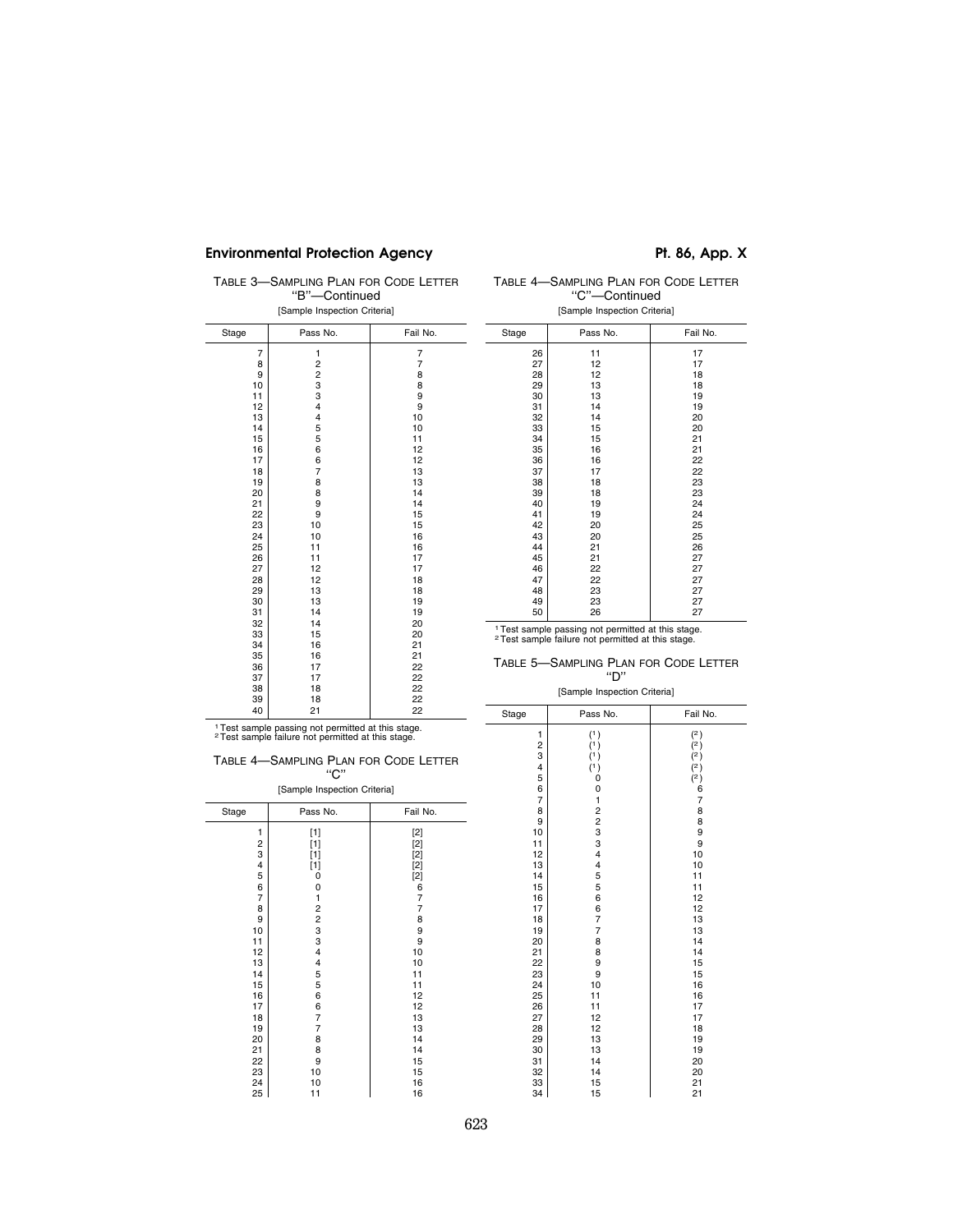# Environmental Protection Agency **Pt. 86, App. X**

TABLE 3—SAMPLING PLAN FOR CODE LETTER ''B''—Continued [Sample Inspection Criteria]

TABLE 4—SAMPLING PLAN FOR CODE LETTER ''C''—Continued

| Stage | Pass No.      | Fail No. | Stage | Pass No.                                                      | Fail No. |
|-------|---------------|----------|-------|---------------------------------------------------------------|----------|
| 7     | 1             | 7        | 26    | 11                                                            | 17       |
| 8     |               | 7        | 27    | 12                                                            | 17       |
| 9     | $\frac{2}{2}$ | 8        | 28    | 12                                                            | 18       |
| 10    | 3             | 8        | 29    | 13                                                            | 18       |
| 11    | 3             | 9        | 30    | 13                                                            | 19       |
| 12    | 4             | 9        | 31    | 14                                                            | 19       |
| 13    | 4             | 10       | 32    | 14                                                            | 20       |
| 14    | 5             | 10       | 33    | 15                                                            | 20       |
| 15    | 5             | 11       | 34    | 15                                                            | 21       |
| 16    | 6             | 12       | 35    | 16                                                            | 21       |
| 17    | 6             | 12       | 36    | 16                                                            | 22       |
| 18    | 7             | 13       | 37    | 17                                                            | 22       |
| 19    | 8             | 13       | 38    | 18                                                            | 23       |
| 20    | 8             | 14       | 39    | 18                                                            | 23       |
| 21    | 9             | 14       | 40    | 19                                                            | 24       |
| 22    | 9             | 15       | 41    | 19                                                            | 24       |
| 23    | 10            | 15       | 42    | 20                                                            | 25       |
| 24    | 10            | 16       | 43    | 20                                                            | 25       |
| 25    | 11            | 16       | 44    | 21                                                            | 26       |
| 26    | 11            | 17       | 45    | 21                                                            | 27       |
| 27    | 12            | 17       | 46    | 22                                                            | 27       |
| 28    | 12            | 18       | 47    | 22                                                            | 27       |
| 29    | 13            | 18       | 48    | 23                                                            | 27       |
| 30    | 13            | 19       | 49    | 23                                                            | 27       |
| 31    | 14            | 19       | 50    | 26                                                            | 27       |
| 32    | 14            | 20       |       |                                                               |          |
| 33    | 15            | 20       |       | <sup>1</sup> Test sample passing not permitted at this stage. |          |
| 34    | 16            | 21       |       | <sup>2</sup> Test sample failure not permitted at this stage. |          |
| 35    | 16            | 21       |       |                                                               |          |
| 36    | 17            | 22       |       | TABLE 5-SAMPLING PLAN FOR CODE LET                            |          |
| 37    | 17            | 22       |       | "D"                                                           |          |
| 38    | 18            | 22       |       | [Sample Inspection Criteria]                                  |          |
| 39    | 18            | 22       |       |                                                               |          |
| 40    | 21            | 22       | Stage | Pass No.                                                      | Fail No. |
|       |               |          |       |                                                               |          |

| [Sample Inspection Criteria]                       |          |          |  |
|----------------------------------------------------|----------|----------|--|
| Stage                                              | Pass No. | Fail No. |  |
| 26                                                 | 11       | 17       |  |
| 27                                                 | 12       | 17       |  |
| 28                                                 | 12       | 18       |  |
| 29                                                 | 13       | 18       |  |
| 30                                                 | 13       | 19       |  |
| 31                                                 | 14       | 19       |  |
| 32                                                 | 14       | 20       |  |
| 33                                                 | 15       | 20       |  |
| 34                                                 | 15       | 21       |  |
| 35                                                 | 16       | 21       |  |
| 36                                                 | 16       | 22       |  |
| 37                                                 | 17       | 22       |  |
| 38                                                 | 18       | 23       |  |
| 39                                                 | 18       | 23       |  |
| 40                                                 | 19       | 24       |  |
| 41                                                 | 19       | 24       |  |
| 42                                                 | 20       | 25       |  |
| 43                                                 | 20       | 25       |  |
| 44                                                 | 21       | 26       |  |
| 45                                                 | 21       | 27       |  |
| 46                                                 | 22       | 27       |  |
| 47                                                 | 22       | 27       |  |
| 48                                                 | 23       | 27       |  |
| 49                                                 | 23       | 27       |  |
| 50                                                 | 26       | 27       |  |
| ٠.<br>the cost of the battle and<br>$+$ $ -$<br>×. |          |          |  |

ABLE 5-SAMPLING PLAN FOR CODE LETTER

''D'' [Sample Inspection Criteria]

25 11 16<br>
27 12 17<br>
28 12 18<br>
30 13 19<br>
31 14 20<br>
32 14 20<br>
33 15 21<br>
34 15 21

1Test sample passing not permitted at this stage. 2Test sample failure not permitted at this stage.

í.

| TABLE 4-SAMPLING PLAN FOR CODE LETTER |     |  |
|---------------------------------------|-----|--|
|                                       | "C" |  |

| [Sample Inspection Criteria] |                         |          |  |
|------------------------------|-------------------------|----------|--|
| Stage                        | Pass No.                | Fail No. |  |
| 1                            | $[1]$                   | $[2]$    |  |
|                              | $[1]$                   | $[2]$    |  |
| $\frac{2}{3}$                | $[1]$                   | $[2]$    |  |
| 4                            | $[1]$                   | $[2]$    |  |
| 5                            | 0                       | $[2]$    |  |
| 6                            | 0                       | 6        |  |
| 7                            | 1                       | 7        |  |
| 8                            | $\overline{\mathbf{c}}$ | 7        |  |
| 9                            | $\overline{\mathbf{c}}$ | 8        |  |
| 10                           | 3                       | 9        |  |
| 11                           | 3                       | 9        |  |
| 12                           | 4                       | 10       |  |
| 13                           | 4                       | 10       |  |
| 14                           | 5                       | 11       |  |
| 15                           | 5                       | 11       |  |
| 16                           | 6                       | 12       |  |
| 17                           | 6                       | 12       |  |
| 18                           | 7                       | 13       |  |
| 19                           | 7                       | 13       |  |
| 20                           | 8                       | 14       |  |
| 21                           | 8                       | 14       |  |
| 22                           | 9                       | 15       |  |
| 23                           | 10                      | 15       |  |
| 24                           | 10                      | 16       |  |
| 25                           | 11                      | 16       |  |

| ۰<br>n<br>$\sim$ |  |
|------------------|--|
|                  |  |